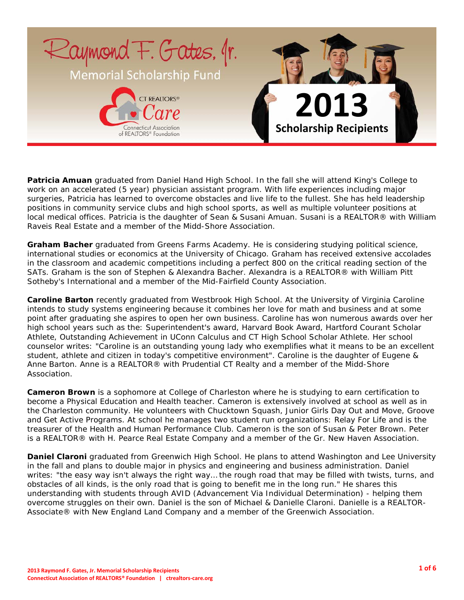

**Patricia Amuan** graduated from Daniel Hand High School. In the fall she will attend King's College to work on an accelerated (5 year) physician assistant program. With life experiences including major surgeries, Patricia has learned to overcome obstacles and live life to the fullest. She has held leadership positions in community service clubs and high school sports, as well as multiple volunteer positions at local medical offices. Patricia is the daughter of Sean & Susani Amuan. Susani is a REALTOR® with William Raveis Real Estate and a member of the Midd-Shore Association.

**Graham Bacher** graduated from Greens Farms Academy. He is considering studying political science, international studies or economics at the University of Chicago. Graham has received extensive accolades in the classroom and academic competitions including a perfect 800 on the critical reading section of the SATs. Graham is the son of Stephen & Alexandra Bacher. Alexandra is a REALTOR® with William Pitt Sotheby's International and a member of the Mid-Fairfield County Association.

**Caroline Barton** recently graduated from Westbrook High School. At the University of Virginia Caroline intends to study systems engineering because it combines her love for math and business and at some point after graduating she aspires to open her own business. Caroline has won numerous awards over her high school years such as the: Superintendent's award, Harvard Book Award, Hartford Courant Scholar Athlete, Outstanding Achievement in UConn Calculus and CT High School Scholar Athlete. Her school counselor writes: "Caroline is an outstanding young lady who exemplifies what it means to be an excellent student, athlete and citizen in today's competitive environment". Caroline is the daughter of Eugene & Anne Barton. Anne is a REALTOR® with Prudential CT Realty and a member of the Midd-Shore Association.

**Cameron Brown** is a sophomore at College of Charleston where he is studying to earn certification to become a Physical Education and Health teacher. Cameron is extensively involved at school as well as in the Charleston community. He volunteers with Chucktown Squash, Junior Girls Day Out and Move, Groove and Get Active Programs. At school he manages two student run organizations: Relay For Life and is the treasurer of the Health and Human Performance Club. Cameron is the son of Susan & Peter Brown. Peter is a REALTOR® with H. Pearce Real Estate Company and a member of the Gr. New Haven Association.

**Daniel Claroni** graduated from Greenwich High School. He plans to attend Washington and Lee University in the fall and plans to double major in physics and engineering and business administration. Daniel writes: "the easy way isn't always the right way… the rough road that may be filled with twists, turns, and obstacles of all kinds, is the only road that is going to benefit me in the long run." He shares this understanding with students through AVID (Advancement Via Individual Determination) - helping them overcome struggles on their own. Daniel is the son of Michael & Danielle Claroni. Danielle is a REALTOR-Associate® with New England Land Company and a member of the Greenwich Association.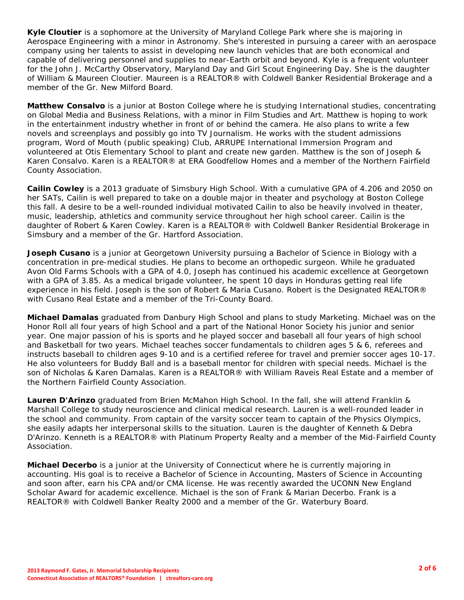**Kyle Cloutier** is a sophomore at the University of Maryland College Park where she is majoring in Aerospace Engineering with a minor in Astronomy. She's interested in pursuing a career with an aerospace company using her talents to assist in developing new launch vehicles that are both economical and capable of delivering personnel and supplies to near-Earth orbit and beyond. Kyle is a frequent volunteer for the John J. McCarthy Observatory, Maryland Day and Girl Scout Engineering Day. She is the daughter of William & Maureen Cloutier. Maureen is a REALTOR® with Coldwell Banker Residential Brokerage and a member of the Gr. New Milford Board.

**Matthew Consalvo** is a junior at Boston College where he is studying International studies, concentrating on Global Media and Business Relations, with a minor in Film Studies and Art. Matthew is hoping to work in the entertainment industry whether in front of or behind the camera. He also plans to write a few novels and screenplays and possibly go into TV Journalism. He works with the student admissions program, Word of Mouth (public speaking) Club, ARRUPE International Immersion Program and volunteered at Otis Elementary School to plant and create new garden. Matthew is the son of Joseph & Karen Consalvo. Karen is a REALTOR® at ERA Goodfellow Homes and a member of the Northern Fairfield County Association.

**Cailin Cowley** is a 2013 graduate of Simsbury High School. With a cumulative GPA of 4.206 and 2050 on her SATs, Cailin is well prepared to take on a double major in theater and psychology at Boston College this fall. A desire to be a well-rounded individual motivated Cailin to also be heavily involved in theater, music, leadership, athletics and community service throughout her high school career. Cailin is the daughter of Robert & Karen Cowley. Karen is a REALTOR® with Coldwell Banker Residential Brokerage in Simsbury and a member of the Gr. Hartford Association.

**Joseph Cusano** is a junior at Georgetown University pursuing a Bachelor of Science in Biology with a concentration in pre-medical studies. He plans to become an orthopedic surgeon. While he graduated Avon Old Farms Schools with a GPA of 4.0, Joseph has continued his academic excellence at Georgetown with a GPA of 3.85. As a medical brigade volunteer, he spent 10 days in Honduras getting real life experience in his field. Joseph is the son of Robert & Maria Cusano. Robert is the Designated REALTOR® with Cusano Real Estate and a member of the Tri-County Board.

**Michael Damalas** graduated from Danbury High School and plans to study Marketing. Michael was on the Honor Roll all four years of high School and a part of the National Honor Society his junior and senior year. One major passion of his is sports and he played soccer and baseball all four years of high school and Basketball for two years. Michael teaches soccer fundamentals to children ages 5 & 6, referees and instructs baseball to children ages 9-10 and is a certified referee for travel and premier soccer ages 10-17. He also volunteers for Buddy Ball and is a baseball mentor for children with special needs. Michael is the son of Nicholas & Karen Damalas. Karen is a REALTOR® with William Raveis Real Estate and a member of the Northern Fairfield County Association.

**Lauren D'Arinzo** graduated from Brien McMahon High School. In the fall, she will attend Franklin & Marshall College to study neuroscience and clinical medical research. Lauren is a well-rounded leader in the school and community. From captain of the varsity soccer team to captain of the Physics Olympics, she easily adapts her interpersonal skills to the situation. Lauren is the daughter of Kenneth & Debra D'Arinzo. Kenneth is a REALTOR® with Platinum Property Realty and a member of the Mid-Fairfield County Association.

**Michael Decerbo** is a junior at the University of Connecticut where he is currently majoring in accounting. His goal is to receive a Bachelor of Science in Accounting, Masters of Science in Accounting and soon after, earn his CPA and/or CMA license. He was recently awarded the UCONN New England Scholar Award for academic excellence. Michael is the son of Frank & Marian Decerbo. Frank is a REALTOR® with Coldwell Banker Realty 2000 and a member of the Gr. Waterbury Board.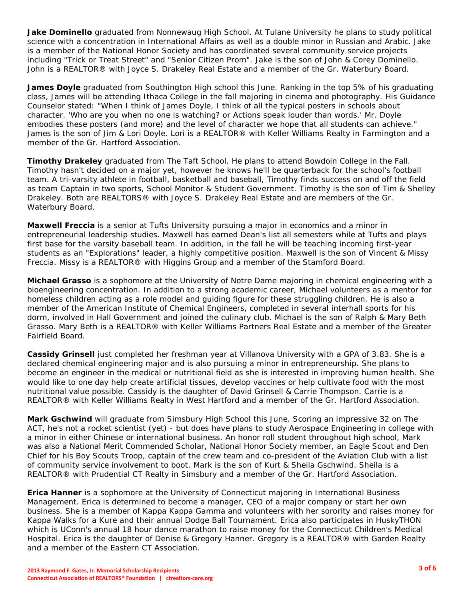**Jake Dominello** graduated from Nonnewaug High School. At Tulane University he plans to study political science with a concentration in International Affairs as well as a double minor in Russian and Arabic. Jake is a member of the National Honor Society and has coordinated several community service projects including "Trick or Treat Street" and "Senior Citizen Prom". Jake is the son of John & Corey Dominello. John is a REALTOR® with Joyce S. Drakeley Real Estate and a member of the Gr. Waterbury Board.

**James Doyle** graduated from Southington High school this June. Ranking in the top 5% of his graduating class, James will be attending Ithaca College in the fall majoring in cinema and photography. His Guidance Counselor stated: "When I think of James Doyle, I think of all the typical posters in schools about character. 'Who are you when no one is watching? or Actions speak louder than words.' Mr. Doyle embodies these posters (and more) and the level of character we hope that all students can achieve." James is the son of Jim & Lori Doyle. Lori is a REALTOR® with Keller Williams Realty in Farmington and a member of the Gr. Hartford Association.

**Timothy Drakeley** graduated from The Taft School. He plans to attend Bowdoin College in the Fall. Timothy hasn't decided on a major yet, however he knows he'll be quarterback for the school's football team. A tri-varsity athlete in football, basketball and baseball, Timothy finds success on and off the field as team Captain in two sports, School Monitor & Student Government. Timothy is the son of Tim & Shelley Drakeley. Both are REALTORS® with Joyce S. Drakeley Real Estate and are members of the Gr. Waterbury Board.

**Maxwell Freccia** is a senior at Tufts University pursuing a major in economics and a minor in entrepreneurial leadership studies. Maxwell has earned Dean's list all semesters while at Tufts and plays first base for the varsity baseball team. In addition, in the fall he will be teaching incoming first-year students as an "Explorations" leader, a highly competitive position. Maxwell is the son of Vincent & Missy Freccia. Missy is a REALTOR® with Higgins Group and a member of the Stamford Board.

**Michael Grasso** is a sophomore at the University of Notre Dame majoring in chemical engineering with a bioengineering concentration. In addition to a strong academic career, Michael volunteers as a mentor for homeless children acting as a role model and guiding figure for these struggling children. He is also a member of the American Institute of Chemical Engineers, completed in several interhall sports for his dorm, involved in Hall Government and joined the culinary club. Michael is the son of Ralph & Mary Beth Grasso. Mary Beth is a REALTOR® with Keller Williams Partners Real Estate and a member of the Greater Fairfield Board.

**Cassidy Grinsell** just completed her freshman year at Villanova University with a GPA of 3.83. She is a declared chemical engineering major and is also pursuing a minor in entrepreneurship. She plans to become an engineer in the medical or nutritional field as she is interested in improving human health. She would like to one day help create artificial tissues, develop vaccines or help cultivate food with the most nutritional value possible. Cassidy is the daughter of David Grinsell & Carrie Thompson. Carrie is a REALTOR® with Keller Williams Realty in West Hartford and a member of the Gr. Hartford Association.

**Mark Gschwind** will graduate from Simsbury High School this June. Scoring an impressive 32 on The ACT, he's not a rocket scientist (yet) - but does have plans to study Aerospace Engineering in college with a minor in either Chinese or international business. An honor roll student throughout high school, Mark was also a National Merit Commended Scholar, National Honor Society member, an Eagle Scout and Den Chief for his Boy Scouts Troop, captain of the crew team and co-president of the Aviation Club with a list of community service involvement to boot. Mark is the son of Kurt & Sheila Gschwind. Sheila is a REALTOR® with Prudential CT Realty in Simsbury and a member of the Gr. Hartford Association.

**Erica Hanner** is a sophomore at the University of Connecticut majoring in International Business Management. Erica is determined to become a manager, CEO of a major company or start her own business. She is a member of Kappa Kappa Gamma and volunteers with her sorority and raises money for Kappa Walks for a Kure and their annual Dodge Ball Tournament. Erica also participates in HuskyTHON which is UConn's annual 18 hour dance marathon to raise money for the Connecticut Children's Medical Hospital. Erica is the daughter of Denise & Gregory Hanner. Gregory is a REALTOR® with Garden Realty and a member of the Eastern CT Association.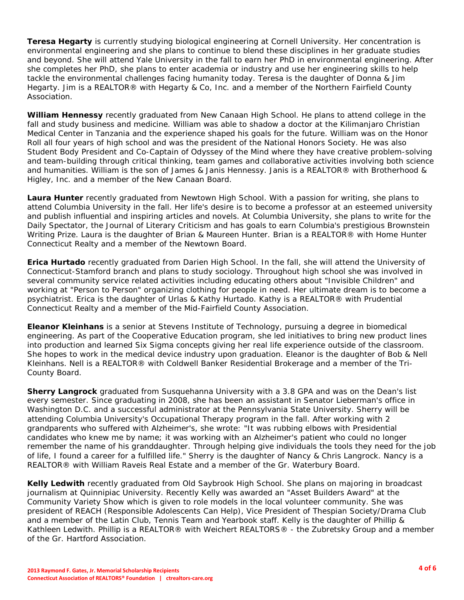**Teresa Hegarty** is currently studying biological engineering at Cornell University. Her concentration is environmental engineering and she plans to continue to blend these disciplines in her graduate studies and beyond. She will attend Yale University in the fall to earn her PhD in environmental engineering. After she completes her PhD, she plans to enter academia or industry and use her engineering skills to help tackle the environmental challenges facing humanity today. Teresa is the daughter of Donna & Jim Hegarty. Jim is a REALTOR® with Hegarty & Co, Inc. and a member of the Northern Fairfield County Association.

**William Hennessy** recently graduated from New Canaan High School. He plans to attend college in the fall and study business and medicine. William was able to shadow a doctor at the Kilimanjaro Christian Medical Center in Tanzania and the experience shaped his goals for the future. William was on the Honor Roll all four years of high school and was the president of the National Honors Society. He was also Student Body President and Co-Captain of Odyssey of the Mind where they have creative problem-solving and team-building through critical thinking, team games and collaborative activities involving both science and humanities. William is the son of James & Janis Hennessy. Janis is a REALTOR® with Brotherhood & Higley, Inc. and a member of the New Canaan Board.

**Laura Hunter** recently graduated from Newtown High School. With a passion for writing, she plans to attend Columbia University in the fall. Her life's desire is to become a professor at an esteemed university and publish influential and inspiring articles and novels. At Columbia University, she plans to write for the Daily Spectator, the Journal of Literary Criticism and has goals to earn Columbia's prestigious Brownstein Writing Prize. Laura is the daughter of Brian & Maureen Hunter. Brian is a REALTOR® with Home Hunter Connecticut Realty and a member of the Newtown Board.

**Erica Hurtado** recently graduated from Darien High School. In the fall, she will attend the University of Connecticut-Stamford branch and plans to study sociology. Throughout high school she was involved in several community service related activities including educating others about "Invisible Children" and working at "Person to Person" organizing clothing for people in need. Her ultimate dream is to become a psychiatrist. Erica is the daughter of Urlas & Kathy Hurtado. Kathy is a REALTOR® with Prudential Connecticut Realty and a member of the Mid-Fairfield County Association.

**Eleanor Kleinhans** is a senior at Stevens Institute of Technology, pursuing a degree in biomedical engineering. As part of the Cooperative Education program, she led initiatives to bring new product lines into production and learned Six Sigma concepts giving her real life experience outside of the classroom. She hopes to work in the medical device industry upon graduation. Eleanor is the daughter of Bob & Nell Kleinhans. Nell is a REALTOR® with Coldwell Banker Residential Brokerage and a member of the Tri-County Board.

**Sherry Langrock** graduated from Susquehanna University with a 3.8 GPA and was on the Dean's list every semester. Since graduating in 2008, she has been an assistant in Senator Lieberman's office in Washington D.C. and a successful administrator at the Pennsylvania State University. Sherry will be attending Columbia University's Occupational Therapy program in the fall. After working with 2 grandparents who suffered with Alzheimer's, she wrote: "It was rubbing elbows with Presidential candidates who knew me by name; it was working with an Alzheimer's patient who could no longer remember the name of his granddaughter. Through helping give individuals the tools they need for the job of life, I found a career for a fulfilled life." Sherry is the daughter of Nancy & Chris Langrock. Nancy is a REALTOR® with William Raveis Real Estate and a member of the Gr. Waterbury Board.

**Kelly Ledwith** recently graduated from Old Saybrook High School. She plans on majoring in broadcast journalism at Quinnipiac University. Recently Kelly was awarded an "Asset Builders Award" at the Community Variety Show which is given to role models in the local volunteer community. She was president of REACH (Responsible Adolescents Can Help), Vice President of Thespian Society/Drama Club and a member of the Latin Club, Tennis Team and Yearbook staff. Kelly is the daughter of Phillip & Kathleen Ledwith. Phillip is a REALTOR® with Weichert REALTORS® - the Zubretsky Group and a member of the Gr. Hartford Association.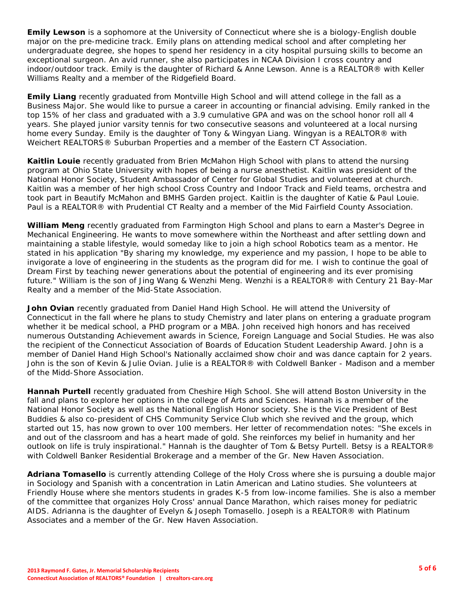**Emily Lewson** is a sophomore at the University of Connecticut where she is a biology-English double major on the pre-medicine track. Emily plans on attending medical school and after completing her undergraduate degree, she hopes to spend her residency in a city hospital pursuing skills to become an exceptional surgeon. An avid runner, she also participates in NCAA Division I cross country and indoor/outdoor track. Emily is the daughter of Richard & Anne Lewson. Anne is a REALTOR® with Keller Williams Realty and a member of the Ridgefield Board.

**Emily Liang** recently graduated from Montville High School and will attend college in the fall as a Business Major. She would like to pursue a career in accounting or financial advising. Emily ranked in the top 15% of her class and graduated with a 3.9 cumulative GPA and was on the school honor roll all 4 years. She played junior varsity tennis for two consecutive seasons and volunteered at a local nursing home every Sunday. Emily is the daughter of Tony & Wingyan Liang. Wingyan is a REALTOR® with Weichert REALTORS® Suburban Properties and a member of the Eastern CT Association.

**Kaitlin Louie** recently graduated from Brien McMahon High School with plans to attend the nursing program at Ohio State University with hopes of being a nurse anesthetist. Kaitlin was president of the National Honor Society, Student Ambassador of Center for Global Studies and volunteered at church. Kaitlin was a member of her high school Cross Country and Indoor Track and Field teams, orchestra and took part in Beautify McMahon and BMHS Garden project. Kaitlin is the daughter of Katie & Paul Louie. Paul is a REALTOR® with Prudential CT Realty and a member of the Mid Fairfield County Association.

**William Meng** recently graduated from Farmington High School and plans to earn a Master's Degree in Mechanical Engineering. He wants to move somewhere within the Northeast and after settling down and maintaining a stable lifestyle, would someday like to join a high school Robotics team as a mentor. He stated in his application "By sharing my knowledge, my experience and my passion, I hope to be able to invigorate a love of engineering in the students as the program did for me. I wish to continue the goal of Dream First by teaching newer generations about the potential of engineering and its ever promising future." William is the son of Jing Wang & Wenzhi Meng. Wenzhi is a REALTOR® with Century 21 Bay-Mar Realty and a member of the Mid-State Association.

**John Ovian** recently graduated from Daniel Hand High School. He will attend the University of Connecticut in the fall where he plans to study Chemistry and later plans on entering a graduate program whether it be medical school, a PHD program or a MBA. John received high honors and has received numerous Outstanding Achievement awards in Science, Foreign Language and Social Studies. He was also the recipient of the Connecticut Association of Boards of Education Student Leadership Award. John is a member of Daniel Hand High School's Nationally acclaimed show choir and was dance captain for 2 years. John is the son of Kevin & Julie Ovian. Julie is a REALTOR® with Coldwell Banker - Madison and a member of the Midd-Shore Association.

**Hannah Purtell** recently graduated from Cheshire High School. She will attend Boston University in the fall and plans to explore her options in the college of Arts and Sciences. Hannah is a member of the National Honor Society as well as the National English Honor society. She is the Vice President of Best Buddies & also co-president of CHS Community Service Club which she revived and the group, which started out 15, has now grown to over 100 members. Her letter of recommendation notes: "She excels in and out of the classroom and has a heart made of gold. She reinforces my belief in humanity and her outlook on life is truly inspirational." Hannah is the daughter of Tom & Betsy Purtell. Betsy is a REALTOR® with Coldwell Banker Residential Brokerage and a member of the Gr. New Haven Association.

**Adriana Tomasello** is currently attending College of the Holy Cross where she is pursuing a double major in Sociology and Spanish with a concentration in Latin American and Latino studies. She volunteers at Friendly House where she mentors students in grades K-5 from low-income families. She is also a member of the committee that organizes Holy Cross' annual Dance Marathon, which raises money for pediatric AIDS. Adrianna is the daughter of Evelyn & Joseph Tomasello. Joseph is a REALTOR® with Platinum Associates and a member of the Gr. New Haven Association.